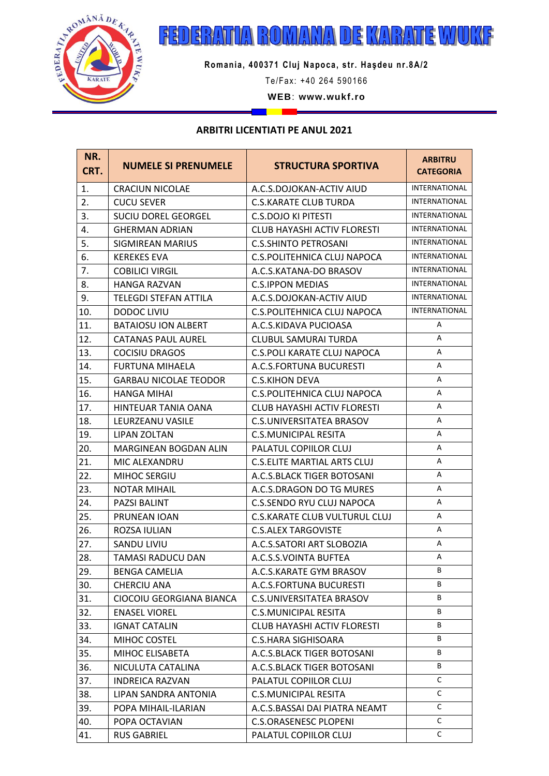

## ROMANA DE KARATE WUKF 6  $\mathbb{Z}$ 뒝 П  $\|A\|$

**Romania, 400371 Cluj Napoca, str. Haşdeu nr.8A/2**

Te/Fax: +40 264 590166

WEB: www.wukf.ro

## **ARBITRI LICENTIATI PE ANUL 2021**

m.

<u>i Timb</u>

| NR.<br>CRT. | <b>NUMELE SI PRENUMELE</b>   | <b>STRUCTURA SPORTIVA</b>            | <b>ARBITRU</b><br><b>CATEGORIA</b> |
|-------------|------------------------------|--------------------------------------|------------------------------------|
| 1.          | <b>CRACIUN NICOLAE</b>       | A.C.S.DOJOKAN-ACTIV AIUD             | INTERNATIONAL                      |
| 2.          | <b>CUCU SEVER</b>            | <b>C.S.KARATE CLUB TURDA</b>         | <b>INTERNATIONAL</b>               |
| 3.          | <b>SUCIU DOREL GEORGEL</b>   | <b>C.S.DOJO KI PITESTI</b>           | <b>INTERNATIONAL</b>               |
| 4.          | <b>GHERMAN ADRIAN</b>        | <b>CLUB HAYASHI ACTIV FLORESTI</b>   | <b>INTERNATIONAL</b>               |
| 5.          | <b>SIGMIREAN MARIUS</b>      | <b>C.S.SHINTO PETROSANI</b>          | INTERNATIONAL                      |
| 6.          | <b>KEREKES EVA</b>           | C.S. POLITEHNICA CLUJ NAPOCA         | <b>INTERNATIONAL</b>               |
| 7.          | <b>COBILICI VIRGIL</b>       | A.C.S.KATANA-DO BRASOV               | <b>INTERNATIONAL</b>               |
| 8.          | <b>HANGA RAZVAN</b>          | <b>C.S.IPPON MEDIAS</b>              | <b>INTERNATIONAL</b>               |
| 9.          | <b>TELEGDI STEFAN ATTILA</b> | A.C.S.DOJOKAN-ACTIV AIUD             | <b>INTERNATIONAL</b>               |
| 10.         | <b>DODOC LIVIU</b>           | C.S. POLITEHNICA CLUJ NAPOCA         | INTERNATIONAL                      |
| 11.         | <b>BATAIOSU ION ALBERT</b>   | A.C.S.KIDAVA PUCIOASA                | A                                  |
| 12.         | <b>CATANAS PAUL AUREL</b>    | <b>CLUBUL SAMURAI TURDA</b>          | A                                  |
| 13.         | <b>COCISIU DRAGOS</b>        | <b>C.S.POLI KARATE CLUJ NAPOCA</b>   | А                                  |
| 14.         | <b>FURTUNA MIHAELA</b>       | A.C.S.FORTUNA BUCURESTI              | А                                  |
| 15.         | <b>GARBAU NICOLAE TEODOR</b> | <b>C.S.KIHON DEVA</b>                | А                                  |
| 16.         | <b>HANGA MIHAI</b>           | C.S. POLITEHNICA CLUJ NAPOCA         | A                                  |
| 17.         | <b>HINTEUAR TANIA OANA</b>   | <b>CLUB HAYASHI ACTIV FLORESTI</b>   | А                                  |
| 18.         | LEURZEANU VASILE             | <b>C.S.UNIVERSITATEA BRASOV</b>      | А                                  |
| 19.         | <b>LIPAN ZOLTAN</b>          | <b>C.S.MUNICIPAL RESITA</b>          | А                                  |
| 20.         | <b>MARGINEAN BOGDAN ALIN</b> | PALATUL COPIILOR CLUJ                | A                                  |
| 21.         | MIC ALEXANDRU                | <b>C.S.ELITE MARTIAL ARTS CLUJ</b>   | A                                  |
| 22.         | MIHOC SERGIU                 | A.C.S.BLACK TIGER BOTOSANI           | A                                  |
| 23.         | <b>NOTAR MIHAIL</b>          | A.C.S.DRAGON DO TG MURES             | A                                  |
| 24.         | <b>PAZSI BALINT</b>          | <b>C.S.SENDO RYU CLUJ NAPOCA</b>     | A                                  |
| 25.         | <b>PRUNEAN IOAN</b>          | <b>C.S.KARATE CLUB VULTURUL CLUJ</b> | A                                  |
| 26.         | ROZSA IULIAN                 | <b>C.S.ALEX TARGOVISTE</b>           | А                                  |
| 27.         | <b>SANDU LIVIU</b>           | A.C.S.SATORI ART SLOBOZIA            | A                                  |
| 28.         | TAMASI RADUCU DAN            | A.C.S.S.VOINTA BUFTEA                | Α                                  |
| 29.         | <b>BENGA CAMELIA</b>         | A.C.S.KARATE GYM BRASOV              | B                                  |
| 30.         | <b>CHERCIU ANA</b>           | A.C.S.FORTUNA BUCURESTI              | B                                  |
| 31.         | CIOCOIU GEORGIANA BIANCA     | <b>C.S.UNIVERSITATEA BRASOV</b>      | В                                  |
| 32.         | <b>ENASEL VIOREL</b>         | <b>C.S.MUNICIPAL RESITA</b>          | В                                  |
| 33.         | <b>IGNAT CATALIN</b>         | <b>CLUB HAYASHI ACTIV FLORESTI</b>   | В                                  |
| 34.         | MIHOC COSTEL                 | C.S.HARA SIGHISOARA                  | В                                  |
| 35.         | MIHOC ELISABETA              | A.C.S.BLACK TIGER BOTOSANI           | В                                  |
| 36.         | NICULUTA CATALINA            | A.C.S.BLACK TIGER BOTOSANI           | В                                  |
| 37.         | <b>INDREICA RAZVAN</b>       | PALATUL COPIILOR CLUJ                | C                                  |
| 38.         | LIPAN SANDRA ANTONIA         | C.S.MUNICIPAL RESITA                 | C                                  |
| 39.         | POPA MIHAIL-ILARIAN          | A.C.S.BASSAI DAI PIATRA NEAMT        | C                                  |
| 40.         | POPA OCTAVIAN                | <b>C.S.ORASENESC PLOPENI</b>         | C                                  |
| 41.         | <b>RUS GABRIEL</b>           | PALATUL COPIILOR CLUJ                | C                                  |